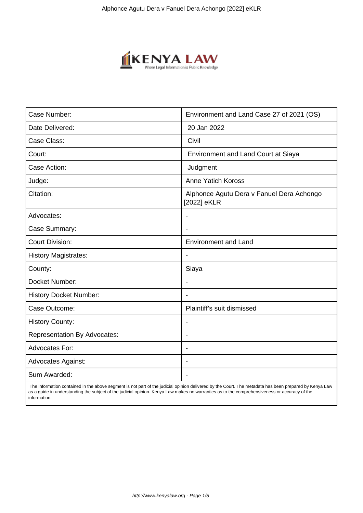

| Case Number:                        | Environment and Land Case 27 of 2021 (OS)                |
|-------------------------------------|----------------------------------------------------------|
| Date Delivered:                     | 20 Jan 2022                                              |
| Case Class:                         | Civil                                                    |
| Court:                              | <b>Environment and Land Court at Siaya</b>               |
| Case Action:                        | Judgment                                                 |
| Judge:                              | <b>Anne Yatich Koross</b>                                |
| Citation:                           | Alphonce Agutu Dera v Fanuel Dera Achongo<br>[2022] eKLR |
| Advocates:                          |                                                          |
| Case Summary:                       |                                                          |
| <b>Court Division:</b>              | <b>Environment and Land</b>                              |
| <b>History Magistrates:</b>         | $\blacksquare$                                           |
| County:                             | Siaya                                                    |
| Docket Number:                      |                                                          |
| <b>History Docket Number:</b>       |                                                          |
| Case Outcome:                       | Plaintiff's suit dismissed                               |
| <b>History County:</b>              | $\blacksquare$                                           |
| <b>Representation By Advocates:</b> | $\overline{\phantom{a}}$                                 |
| Advocates For:                      | $\overline{\phantom{a}}$                                 |
| <b>Advocates Against:</b>           |                                                          |
| Sum Awarded:                        |                                                          |

 The information contained in the above segment is not part of the judicial opinion delivered by the Court. The metadata has been prepared by Kenya Law as a guide in understanding the subject of the judicial opinion. Kenya Law makes no warranties as to the comprehensiveness or accuracy of the information.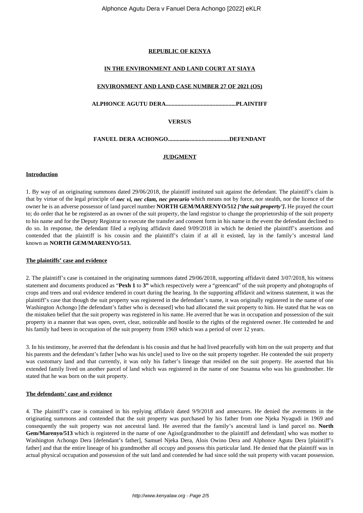## **REPUBLIC OF KENYA**

### **IN THE ENVIRONMENT AND LAND COURT AT SIAYA**

## **ENVIRONMENT AND LAND CASE NUMBER 27 OF 2021 (OS)**

**ALPHONCE AGUTU DERA................................................PLAINTIFF**

# **VERSUS**

**FANUEL DERA ACHONGO..........................................DEFENDANT**

# **JUDGMENT**

### **Introduction**

1. By way of an originating summons dated 29/06/2018, the plaintiff instituted suit against the defendant. The plaintiff's claim is that by virtue of the legal principle of *nec vi, nec clam, nec precario* which means not by force, nor stealth, nor the licence of the owner he is an adverse possessor of land parcel number **NORTH GEM/MARENYO/512** *['the suit property']***.** He prayed the court to; do order that he be registered as an owner of the suit property, the land registrar to change the proprietorship of the suit property to his name and for the Deputy Registrar to execute the transfer and consent form in his name in the event the defendant declined to do so. In response, the defendant filed a replying affidavit dated 9/09/2018 in which he denied the plaintiff's assertions and contended that the plaintiff is his cousin and the plaintiff's claim if at all it existed, lay in the family's ancestral land known as **NORTH GEM/MARENYO/513.**

### **The plaintiffs' case and evidence**

2. The plaintiff's case is contained in the originating summons dated 29/06/2018, supporting affidavit dated 3/07/2018, his witness statement and documents produced as "**Pexh 1** to **3"** which respectively were a "greencard" of the suit property and photographs of crops and trees and oral evidence tendered in court during the hearing. In the supporting affidavit and witness statement, it was the plaintiff's case that though the suit property was registered in the defendant's name, it was originally registered in the name of one Washington Achongo [the defendant's father who is deceased] who had allocated the suit property to him. He stated that he was on the mistaken belief that the suit property was registered in his name. He averred that he was in occupation and possession of the suit property in a manner that was open, overt, clear, noticeable and hostile to the rights of the registered owner. He contended he and his family had been in occupation of the suit property from 1969 which was a period of over 12 years.

3. In his testimony, he averred that the defendant is his cousin and that he had lived peacefully with him on the suit property and that his parents and the defendant's father [who was his uncle] used to live on the suit property together. He contended the suit property was customary land and that currently, it was only his father's lineage that resided on the suit property. He asserted that his extended family lived on another parcel of land which was registered in the name of one Susanna who was his grandmother. He stated that he was born on the suit property.

### **The defendants' case and evidence**

4. The plaintiff's case is contained in his replying affidavit dated 9/9/2018 and annexures. He denied the averments in the originating summons and contended that the suit property was purchased by his father from one Njeka Nyagudi in 1969 and consequently the suit property was not ancestral land. He averred that the family's ancestral land is land parcel no. **North Gem/Marenyo/513** which is registered in the name of one Agiso[grandmother to the plaintiff and defendant] who was mother to Washington Achongo Dera [defendant's father], Samuel Njeka Dera, Alois Owino Dera and Alphonce Agutu Dera [plaintiff's father] and that the entire lineage of his grandmother all occupy and possess this particular land. He denied that the plaintiff was in actual physical occupation and possession of the suit land and contended he had since sold the suit property with vacant possession.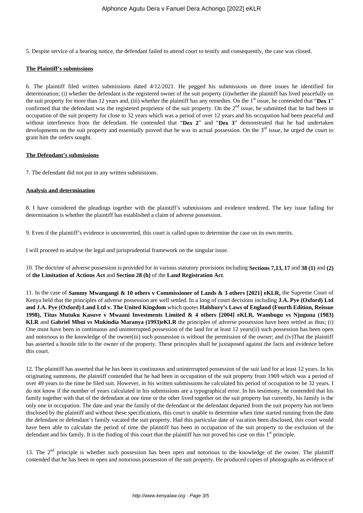5. Despite service of a hearing notice, the defendant failed to attend court to testify and consequently, the case was closed.

### **The Plaintiff's submissions**

6. The plaintiff filed written submissions dated 4/12/2021. He pegged his submissions on three issues he identified for determination; (i) whether the defendant is the registered owner of the suit property (ii)whether the plaintiff has lived peacefully on the suit property for more than 12 years and, (iii) whether the plaintiff has any remedies. On the 1<sup>st</sup> issue, he contended that "Dex 1" confirmed that the defendant was the registered proprietor of the suit property. On the  $2<sup>nd</sup>$  issue, he submitted that he had been in occupation of the suit property for close to 32 years which was a period of over 12 years and his occupation had been peaceful and without interference from the defendant. He contended that "**Dex 2**" and "**Dex 3**" demonstrated that he had undertaken developments on the suit property and essentially proved that he was in actual possession. On the  $3<sup>rd</sup>$  issue, he urged the court to grant him the orders sought.

#### **The Defendant's submissions**

7. The defendant did not put in any written submissions.

### **Analysis and determination**

8. I have considered the pleadings together with the plaintiff's submissions and evidence tendered. The key issue falling for determination is whether the plaintiff has established a claim of adverse possession.

9. Even if the plaintiff's evidence is unconverted, this court is called upon to determine the case on its own merits.

I will proceed to analyse the legal and jurisprudential framework on the singular issue.

10. The doctrine of adverse possession is provided for in various statutory provisions including **Sections 7,13, 17** and **38 (1)** and **(2)** of **the Limitation of Actions Act** and **Section 28 (h)** of the **Land Registration Act**.

11. In the case of **Sammy Mwangangi & 10 others v Commissioner of Lands & 3 others [2021] eKLR,** the Supreme Court of Kenya held that the principles of adverse possession are well settled. In a long of court decisions including **J.A. Pye (Oxford) Ltd and J.A. Pye (Oxford) Land Ltd v. The United Kingdom** which quotes **Halsbury's Laws of England (Fourth Edition, Reissue 1998), Titus Mutuku Kasuve v Mwaani Investments Limited & 4 others [2004] eKLR, Wambugu vs Njuguna (1983) KLR** and **Gabriel Mbui vs Mukindia Maranya (1993)eKLR** the principles of adverse possession have been settled as thus; (i) One must have been in continuous and uninterrupted possession of the land for at least 12 years(ii) such possession has been open and notorious to the knowledge of the owner(iii) such possession is without the permission of the owner; and (iv)That the plaintiff has asserted a hostile title to the owner of the property. These principles shall be juxtaposed against the facts and evidence before this court.

12. The plaintiff has asserted that he has been in continuous and uninterrupted possession of the suit land for at least 12 years. In his originating summons, the plaintiff contended that he had been in occupation of the suit property from 1969 which was a period of over 49 years to the time he filed suit. However, in his written submissions he calculated his period of occupation to be 32 years. I do not know if the number of years calculated in his submissions are a typographical error. In his testimony, he contended that his family together with that of the defendant at one time or the other lived together on the suit property but currently, his family is the only one in occupation. The date and year the family of the defendant or the defendant departed from the suit property has not been disclosed by the plaintiff and without these specifications, this court is unable to determine when time started running from the date the defendant or defendant's family vacated the suit property. Had this particular date of vacation been disclosed, this court would have been able to calculate the period of time the plaintiff has been in occupation of the suit property to the exclusion of the defendant and his family. It is the finding of this court that the plaintiff has not proved his case on this  $1<sup>st</sup>$  principle.

13. The 2<sup>nd</sup> principle is whether such possession has been open and notorious to the knowledge of the owner. The plaintiff contended that he has been in open and notorious possession of the suit property. He produced copies of photographs as evidence of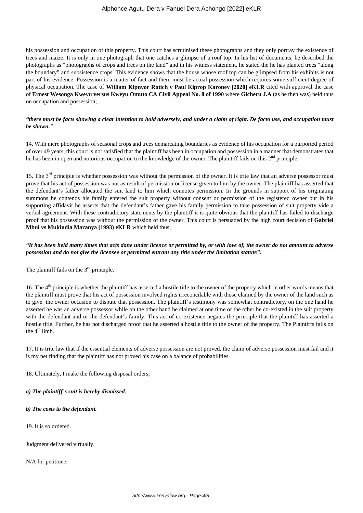his possession and occupation of this property. This court has scrutinised these photographs and they only portray the existence of trees and maize. It is only in one photograph that one catches a glimpse of a roof top. In his list of documents, he described the photographs as "photographs of crops and trees on the land" and in his witness statement, he stated the he has planted trees "along the boundary" and subsistence crops. This evidence shows that the house whose roof top can be glimpsed from his exhibits is not part of his evidence. Possession is a matter of fact and there must be actual possession which requires some sufficient degree of physical occupation. The case of **William Kipnyor Rotich v Paul Kiprop Karoney [2020] eKLR** cited with approval the case of **Ernest Wesonga Kweyu versus Kweyu Omuto CA Civil Appeal No. 8 of 1990** where **Gicheru J.A** (as he then was) held thus on occupation and possession;

## *"there must be facts showing a clear intention to hold adversely, and under a claim of right. De facto use, and occupation must be shown."*

14. With mere photographs of seasonal crops and trees demarcating boundaries as evidence of his occupation for a purported period of over 49 years, this court is not satisfied that the plaintiff has been in occupation and possession in a manner that demonstrates that he has been in open and notorious occupation to the knowledge of the owner. The plaintiff fails on this  $2<sup>nd</sup>$  principle.

15. The  $3<sup>rd</sup>$  principle is whether possession was without the permission of the owner. It is trite law that an adverse possessor must prove that his act of possession was not as result of permission or license given to him by the owner. The plaintiff has asserted that the defendant's father allocated the suit land to him which connotes permission. In the grounds in support of his originating summons he contends his family entered the suit property without consent or permission of the registered owner but in his supporting affidavit he asserts that the defendant's father gave his family permission to take possession of suit property vide a verbal agreement. With these contradictory statements by the plaintiff it is quite obvious that the plaintiff has failed to discharge proof that his possession was without the permission of the owner. This court is persuaded by the high court decision of **Gabriel Mbui vs Mukindia Maranya (1993) eKLR** which held thus;

## *"It has been held many times that acts done under licence or permitted by, or with love of, the owner do not amount to adverse possession and do not give the licensee or permitted entrant any title under the limitation statute".*

The plaintiff fails on the  $3<sup>rd</sup>$  principle.

16. The  $4<sup>th</sup>$  principle is whether the plaintiff has asserted a hostile title to the owner of the property which in other words means that the plaintiff must prove that his act of possession involved rights irreconcilable with those claimed by the owner of the land such as to give the owner occasion to dispute that possession. The plaintiff's testimony was somewhat contradictory, on the one hand he asserted he was an adverse possessor while on the other hand he claimed at one time or the other he co-existed in the suit property with the defendant and or the defendant's family. This act of co-existence negates the principle that the plaintiff has asserted a hostile title. Further, he has not discharged proof that he asserted a hostile title to the owner of the property. The Plaintiffs fails on the  $4<sup>th</sup>$  limb.

17. It is trite law that if the essential elements of adverse possession are not proved, the claim of adverse possession must fail and it is my net finding that the plaintiff has not proved his case on a balance of probabilities.

18. Ultimately, I make the following disposal orders;

*a) The plaintiff's suit is hereby dismissed.*

*b) The costs to the defendant.*

19. It is so ordered.

Judgment delivered virtually.

N/A for petitioner